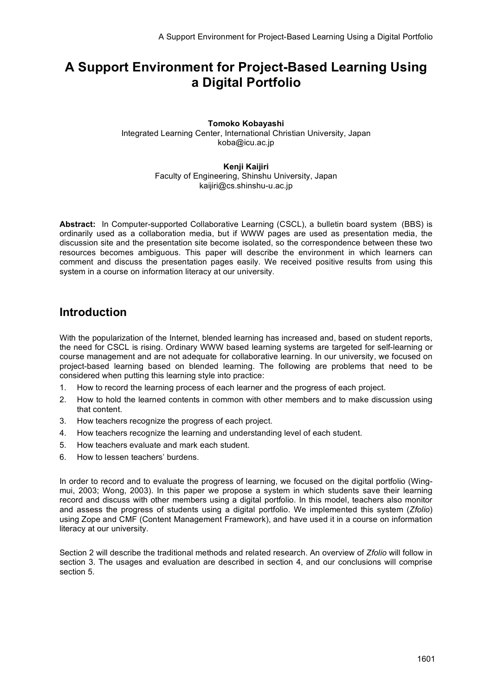# **A Support Environment for Project-Based Learning Using a Digital Portfolio**

#### **Tomoko Kobayashi** Integrated Learning Center, International Christian University, Japan koba@icu.ac.jp

**Kenji Kaijiri** Faculty of Engineering, Shinshu University, Japan kaijiri@cs.shinshu-u.ac.jp

**Abstract:** In Computer-supported Collaborative Learning (CSCL), a bulletin board system (BBS) is ordinarily used as a collaboration media, but if WWW pages are used as presentation media, the discussion site and the presentation site become isolated, so the correspondence between these two resources becomes ambiguous. This paper will describe the environment in which learners can comment and discuss the presentation pages easily. We received positive results from using this system in a course on information literacy at our university.

### **Introduction**

With the popularization of the Internet, blended learning has increased and, based on student reports, the need for CSCL is rising. Ordinary WWW based learning systems are targeted for self-learning or course management and are not adequate for collaborative learning. In our university, we focused on project-based learning based on blended learning. The following are problems that need to be considered when putting this learning style into practice:

- 1. How to record the learning process of each learner and the progress of each project.
- 2. How to hold the learned contents in common with other members and to make discussion using that content.
- 3. How teachers recognize the progress of each project.
- 4. How teachers recognize the learning and understanding level of each student.
- 5. How teachers evaluate and mark each student.
- 6. How to lessen teachers' burdens.

In order to record and to evaluate the progress of learning, we focused on the digital portfolio (Wingmui, 2003; Wong, 2003). In this paper we propose a system in which students save their learning record and discuss with other members using a digital portfolio. In this model, teachers also monitor and assess the progress of students using a digital portfolio. We implemented this system (*Zfolio*) using Zope and CMF (Content Management Framework), and have used it in a course on information literacy at our university.

Section 2 will describe the traditional methods and related research. An overview of *Zfolio* will follow in section 3. The usages and evaluation are described in section 4, and our conclusions will comprise section 5.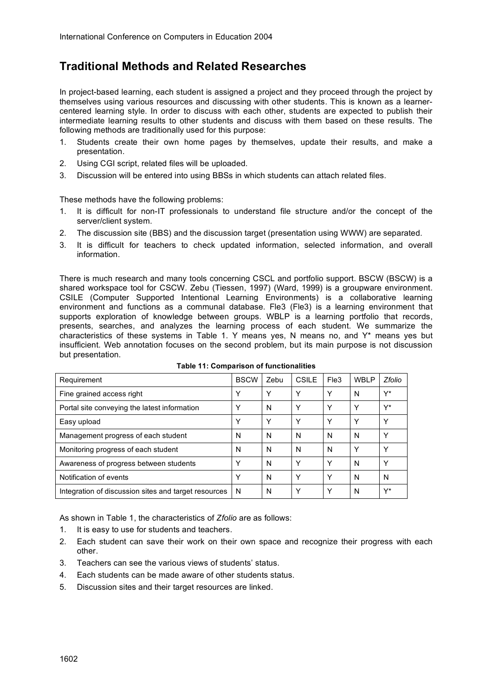## **Traditional Methods and Related Researches**

In project-based learning, each student is assigned a project and they proceed through the project by themselves using various resources and discussing with other students. This is known as a learnercentered learning style. In order to discuss with each other, students are expected to publish their intermediate learning results to other students and discuss with them based on these results. The following methods are traditionally used for this purpose:

- 1. Students create their own home pages by themselves, update their results, and make a presentation.
- 2. Using CGI script, related files will be uploaded.
- 3. Discussion will be entered into using BBSs in which students can attach related files.

These methods have the following problems:

- 1. It is difficult for non-IT professionals to understand file structure and/or the concept of the server/client system.
- 2. The discussion site (BBS) and the discussion target (presentation using WWW) are separated.
- 3. It is difficult for teachers to check updated information, selected information, and overall information.

There is much research and many tools concerning CSCL and portfolio support. BSCW (BSCW) is a shared workspace tool for CSCW. Zebu (Tiessen, 1997) (Ward, 1999) is a groupware environment. CSILE (Computer Supported Intentional Learning Environments) is a collaborative learning environment and functions as a communal database. Fle3 (Fle3) is a learning environment that supports exploration of knowledge between groups. WBLP is a learning portfolio that records, presents, searches, and analyzes the learning process of each student. We summarize the characteristics of these systems in Table 1. Y means yes, N means no, and Y\* means yes but insufficient. Web annotation focuses on the second problem, but its main purpose is not discussion but presentation.

| Requirement                                          | <b>BSCW</b> | Zebu         | CSILE | Fle3 | WBI P | Zfolio |
|------------------------------------------------------|-------------|--------------|-------|------|-------|--------|
| Fine grained access right                            | Υ           | Υ            | Υ     | Y    | N     | Y*     |
| Portal site conveying the latest information         | Υ           | N            | Υ     | Y    | Υ     | Y*     |
| Easy upload                                          | Υ           | $\checkmark$ | Υ     | Y    | Υ     | Υ      |
| Management progress of each student                  | N           | N            | N     | N    | N     | Y      |
| Monitoring progress of each student                  | N           | N            | N     | N    | Υ     | Υ      |
| Awareness of progress between students               | Υ           | N            | Υ     | Y    | N     | Υ      |
| Notification of events                               | Υ           | N            | Υ     | Y    | N     | N      |
| Integration of discussion sites and target resources | N           | N            | Y     | Y    | N     | Y*     |

**Table 11: Comparison of functionalities**

As shown in Table 1, the characteristics of *Zfolio* are as follows:

- 1. It is easy to use for students and teachers.
- 2. Each student can save their work on their own space and recognize their progress with each other.
- 3. Teachers can see the various views of students' status.
- 4. Each students can be made aware of other students status.
- 5. Discussion sites and their target resources are linked.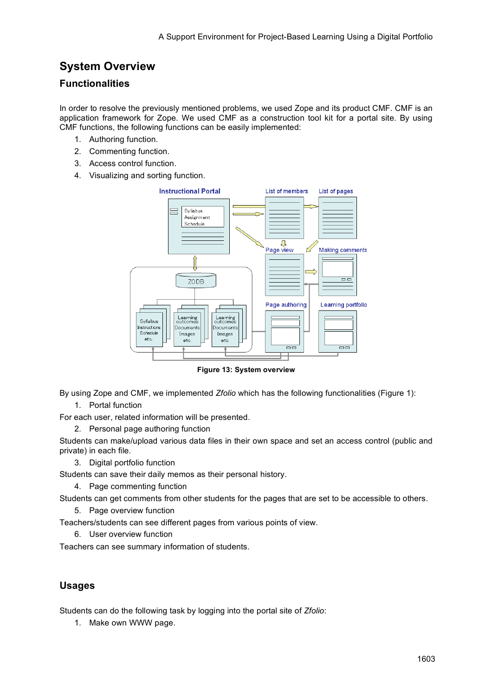# **System Overview**

#### **Functionalities**

In order to resolve the previously mentioned problems, we used Zope and its product CMF. CMF is an application framework for Zope. We used CMF as a construction tool kit for a portal site. By using CMF functions, the following functions can be easily implemented:

- 1. Authoring function.
- 2. Commenting function.
- 3. Access control function.
- 4. Visualizing and sorting function.



**Figure 13: System overview**

By using Zope and CMF, we implemented *Zfolio* which has the following functionalities (Figure 1): 1. Portal function

For each user, related information will be presented.

2. Personal page authoring function

Students can make/upload various data files in their own space and set an access control (public and private) in each file.

3. Digital portfolio function

Students can save their daily memos as their personal history.

4. Page commenting function

Students can get comments from other students for the pages that are set to be accessible to others.

5. Page overview function

Teachers/students can see different pages from various points of view.

6. User overview function

Teachers can see summary information of students.

#### **Usages**

Students can do the following task by logging into the portal site of *Zfolio*:

1. Make own WWW page.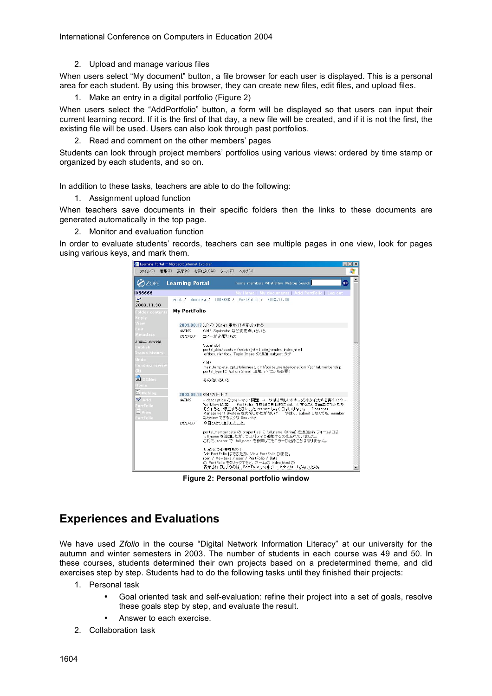International Conference on Computers in Education 2004

2. Upload and manage various files

When users select "My document" button, a file browser for each user is displayed. This is a personal area for each student. By using this browser, they can create new files, edit files, and upload files.

1. Make an entry in a digital portfolio (Figure 2)

When users select the "AddPortfolio" button, a form will be displayed so that users can input their current learning record. If it is the first of that day, a new file will be created, and if it is not the first, the existing file will be used. Users can also look through past portfolios.

2. Read and comment on the other members' pages

Students can look through project members' portfolios using various views: ordered by time stamp or organized by each students, and so on.

In addition to these tasks, teachers are able to do the following:

1. Assignment upload function

When teachers save documents in their specific folders then the links to these documents are generated automatically in the top page.

Monitor and evaluation function

In order to evaluate students' records, teachers can see multiple pages in one view, look for pages using various keys, and mark them.



**Figure 2: Personal portfolio window**

### **Experiences and Evaluations**

We have used *Zfolio* in the course "Digital Network Information Literacy" at our university for the autumn and winter semesters in 2003. The number of students in each course was 49 and 50. In these courses, students determined their own projects based on a predetermined theme, and did exercises step by step. Students had to do the following tasks until they finished their projects:

- 1. Personal task
	- Goal oriented task and self-evaluation: refine their project into a set of goals, resolve these goals step by step, and evaluate the result.
	- Answer to each exercise.
- 2. Collaboration task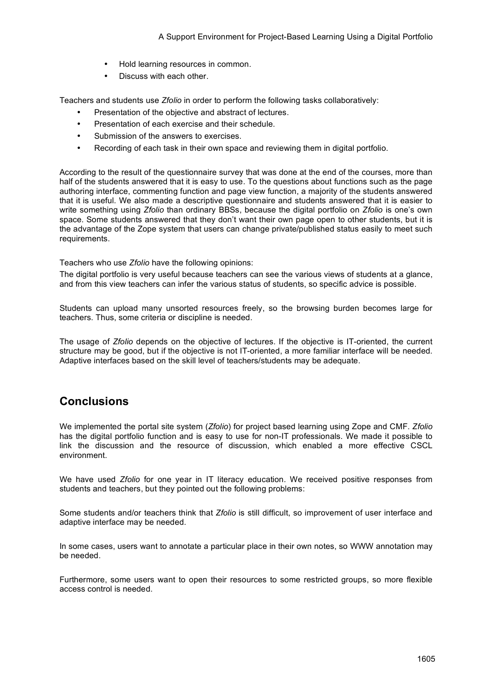- Hold learning resources in common.
- Discuss with each other.

Teachers and students use *Zfolio* in order to perform the following tasks collaboratively:

- Presentation of the objective and abstract of lectures.
- Presentation of each exercise and their schedule.
- Submission of the answers to exercises.
- Recording of each task in their own space and reviewing them in digital portfolio.

According to the result of the questionnaire survey that was done at the end of the courses, more than half of the students answered that it is easy to use. To the questions about functions such as the page authoring interface, commenting function and page view function, a majority of the students answered that it is useful. We also made a descriptive questionnaire and students answered that it is easier to write something using *Zfolio* than ordinary BBSs, because the digital portfolio on *Zfolio* is one's own space. Some students answered that they don't want their own page open to other students, but it is the advantage of the Zope system that users can change private/published status easily to meet such requirements.

Teachers who use *Zfolio* have the following opinions:

The digital portfolio is very useful because teachers can see the various views of students at a glance, and from this view teachers can infer the various status of students, so specific advice is possible.

Students can upload many unsorted resources freely, so the browsing burden becomes large for teachers. Thus, some criteria or discipline is needed.

The usage of *Zfolio* depends on the objective of lectures. If the objective is IT-oriented, the current structure may be good, but if the objective is not IT-oriented, a more familiar interface will be needed. Adaptive interfaces based on the skill level of teachers/students may be adequate.

### **Conclusions**

We implemented the portal site system (*Zfolio*) for project based learning using Zope and CMF. *Zfolio* has the digital portfolio function and is easy to use for non-IT professionals. We made it possible to link the discussion and the resource of discussion, which enabled a more effective CSCL environment.

We have used *Zfolio* for one year in IT literacy education. We received positive responses from students and teachers, but they pointed out the following problems:

Some students and/or teachers think that *Zfolio* is still difficult, so improvement of user interface and adaptive interface may be needed.

In some cases, users want to annotate a particular place in their own notes, so WWW annotation may be needed.

Furthermore, some users want to open their resources to some restricted groups, so more flexible access control is needed.